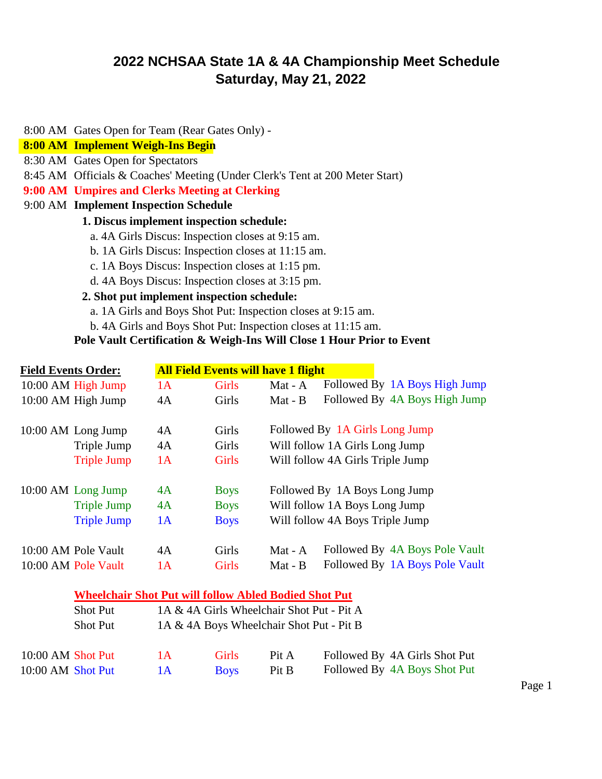# **2022 NCHSAA State 1A & 4A Championship Meet Schedule Saturday, May 21, 2022**

8:00 AM Gates Open for Team (Rear Gates Only) -

## **8:00 AM Implement Weigh-Ins Begin**

- 8:30 AM Gates Open for Spectators
- 8:45 AM Officials & Coaches' Meeting (Under Clerk's Tent at 200 Meter Start)
- **9:00 AM Umpires and Clerks Meeting at Clerking**
- 9:00 AM **Implement Inspection Schedule**

#### **1. Discus implement inspection schedule:**

- a. 4A Girls Discus: Inspection closes at 9:15 am.
- b. 1A Girls Discus: Inspection closes at 11:15 am.
- c. 1A Boys Discus: Inspection closes at 1:15 pm.
- d. 4A Boys Discus: Inspection closes at 3:15 pm.

### **2. Shot put implement inspection schedule:**

- a. 1A Girls and Boys Shot Put: Inspection closes at 9:15 am.
- b. 4A Girls and Boys Shot Put: Inspection closes at 11:15 am.

## **Pole Vault Certification & Weigh-Ins Will Close 1 Hour Prior to Event**

| <b>Field Events Order:</b> |                      | <b>All Field Events will have 1 flight</b> |              |           |                                  |
|----------------------------|----------------------|--------------------------------------------|--------------|-----------|----------------------------------|
|                            | $10:00$ AM High Jump | 1A                                         | <b>Girls</b> | Mat - $A$ | Followed By 1A Boys High Jump    |
|                            | 10:00 AM High Jump   | 4A                                         | Girls        | Mat - B   | Followed By 4A Boys High Jump    |
|                            | 10:00 AM Long Jump   | 4A                                         | Girls        |           | Followed By 1A Girls Long Jump   |
|                            | Triple Jump          | 4A                                         | Girls        |           | Will follow 1A Girls Long Jump   |
|                            | <b>Triple Jump</b>   | 1A                                         | <b>Girls</b> |           | Will follow 4A Girls Triple Jump |
|                            | 10:00 AM Long Jump   | 4A                                         | <b>Boys</b>  |           | Followed By 1A Boys Long Jump    |
|                            | <b>Triple Jump</b>   | 4A                                         | <b>Boys</b>  |           | Will follow 1A Boys Long Jump    |
|                            | <b>Triple Jump</b>   | 1A                                         | <b>Boys</b>  |           | Will follow 4A Boys Triple Jump  |
|                            | 10:00 AM Pole Vault  | 4A                                         | Girls        | Mat - A   | Followed By 4A Boys Pole Vault   |
|                            | 10:00 AM Pole Vault  | 1A                                         | <b>Girls</b> | Mat - B   | Followed By 1A Boys Pole Vault   |

|                   | <b>Wheelchair Shot Put will follow Abled Bodied Shot Put</b> |     |                                           |       |                               |
|-------------------|--------------------------------------------------------------|-----|-------------------------------------------|-------|-------------------------------|
|                   | <b>Shot Put</b>                                              |     | 1A & 4A Girls Wheelchair Shot Put - Pit A |       |                               |
|                   | <b>Shot Put</b>                                              |     | 1A & 4A Boys Wheelchair Shot Put - Pit B  |       |                               |
| 10:00 AM Shot Put |                                                              | 1 A | <b>Girls</b>                              | Pit A | Followed By 4A Girls Shot Put |
| 10:00 AM Shot Put |                                                              | 1 A | <b>Boys</b>                               | Pit B | Followed By 4A Boys Shot Put  |

Page 1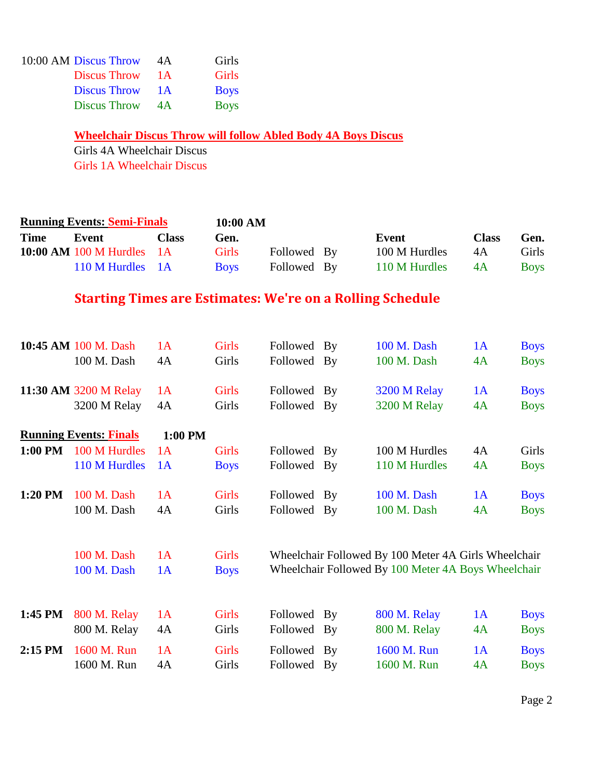| 10:00 AM Discus Throw | 4A  | Girls       |
|-----------------------|-----|-------------|
| Discus Throw          | 1 A | Girls       |
| <b>Discus Throw</b>   | 1 A | <b>Boys</b> |
| <b>Discus Throw</b>   | 4A  | <b>Boys</b> |

**Wheelchair Discus Throw will follow Abled Body 4A Boys Discus**

Girls 4A Wheelchair Discus Girls 1A Wheelchair Discus

| <b>Running Events: Semi-Finals</b> |                                                                  |              | 10:00 AM     |                                                      |  |               |              |             |
|------------------------------------|------------------------------------------------------------------|--------------|--------------|------------------------------------------------------|--|---------------|--------------|-------------|
| <b>Time</b>                        | <b>Event</b>                                                     | <b>Class</b> | Gen.         |                                                      |  | <b>Event</b>  | <b>Class</b> | Gen.        |
|                                    | 10:00 AM 100 M Hurdles                                           | 1A           | <b>Girls</b> | Followed By                                          |  | 100 M Hurdles | 4A           | Girls       |
|                                    | 110 M Hurdles                                                    | 1A           | <b>Boys</b>  | Followed By                                          |  | 110 M Hurdles | 4A           | <b>Boys</b> |
|                                    | <b>Starting Times are Estimates: We're on a Rolling Schedule</b> |              |              |                                                      |  |               |              |             |
|                                    | 10:45 AM 100 M. Dash                                             | 1A           | <b>Girls</b> | Followed By                                          |  | 100 M. Dash   | 1A           | <b>Boys</b> |
|                                    | 100 M. Dash                                                      | 4A           | Girls        | Followed By                                          |  | 100 M. Dash   | 4A           | <b>Boys</b> |
|                                    | 11:30 AM 3200 M Relay                                            | 1A           | Girls        | Followed By                                          |  | 3200 M Relay  | 1A           | <b>Boys</b> |
|                                    | 3200 M Relay                                                     | 4A           | Girls        | Followed By                                          |  | 3200 M Relay  | 4A           | <b>Boys</b> |
|                                    | <b>Running Events: Finals</b>                                    | 1:00 PM      |              |                                                      |  |               |              |             |
| 1:00 PM                            | 100 M Hurdles                                                    | 1A           | <b>Girls</b> | Followed By                                          |  | 100 M Hurdles | 4A           | Girls       |
|                                    | 110 M Hurdles                                                    | 1A           | <b>Boys</b>  | Followed By                                          |  | 110 M Hurdles | 4A           | <b>Boys</b> |
| 1:20 PM                            | 100 M. Dash                                                      | 1A           | Girls        | Followed By                                          |  | 100 M. Dash   | 1A           | <b>Boys</b> |
|                                    | 100 M. Dash                                                      | 4A           | Girls        | Followed By                                          |  | 100 M. Dash   | 4A           | <b>Boys</b> |
|                                    |                                                                  |              |              |                                                      |  |               |              |             |
|                                    | 100 M. Dash                                                      | 1A           | <b>Girls</b> | Wheelchair Followed By 100 Meter 4A Girls Wheelchair |  |               |              |             |
|                                    | 100 M. Dash                                                      | 1A           | <b>Boys</b>  | Wheelchair Followed By 100 Meter 4A Boys Wheelchair  |  |               |              |             |
|                                    |                                                                  |              |              |                                                      |  |               |              |             |
| 1:45 PM                            | 800 M. Relay                                                     | 1A           | Girls        | Followed By                                          |  | 800 M. Relay  | 1A           | <b>Boys</b> |
|                                    | 800 M. Relay                                                     | 4A           | Girls        | Followed By                                          |  | 800 M. Relay  | 4A           | <b>Boys</b> |
| $2:15$ PM                          | 1600 M. Run                                                      | 1A           | <b>Girls</b> | Followed By                                          |  | 1600 M. Run   | 1A           | <b>Boys</b> |
|                                    | 1600 M. Run                                                      | 4A           | Girls        | Followed By                                          |  | 1600 M. Run   | 4A           | <b>Boys</b> |